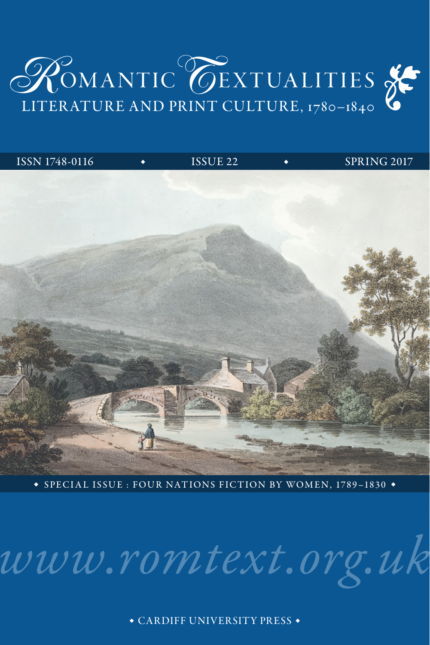

| ISSN 1748-0116 | $\bullet$ | ISSUE 22 | SPRING 2017 |
|----------------|-----------|----------|-------------|
|                |           |          |             |
|                |           |          |             |
|                |           |          |             |
|                |           |          |             |
|                |           |          |             |
|                |           |          |             |
|                |           |          |             |
|                | FITCOLAS  | piece.   |             |
|                |           |          |             |
|                |           |          |             |
|                |           |          | 4902        |

◆ SPECIAL ISSUE : FOUR NATIONS FICTION BY WOMEN, 1789–1830 ◆

*[www.romtext.org.uk](http://www.romtext.org.uk)*

◆ CARDIFF UNIVERSITY PRESS ◆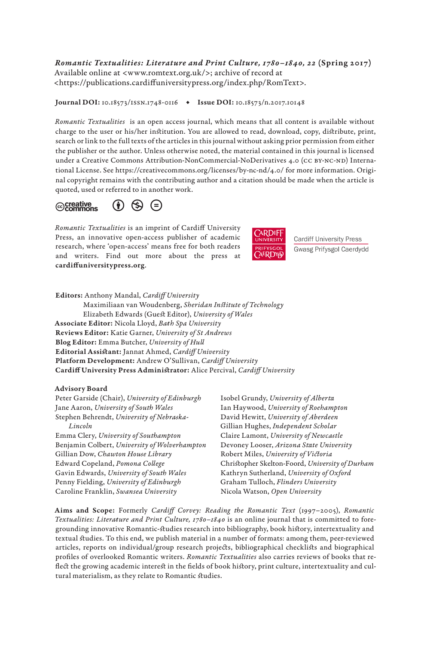*Romantic Textualities: Literature and Print Culture, 1780–1840, 22* (Spring 2017) Available online at [<www.romtext.org.uk/](http://www.romtext.org.uk)>; archive of record at <[https://publications.cardiffuniversitypress.org/index.php/RomText>](https://publications.cardiffuniversitypress.org/index.php/RomText).

Journal DOI: 10.18573/ISSN.1748-0116 • Issue DOI: [10.18573/n.2017.10148](https://doi.org/10.18573/n.2017.10148)

*Romantic Textualities* is an open access journal, which means that all content is available without charge to the user or his/her institution. You are allowed to read, download, copy, distribute, print, search or link to the full texts of the articles in this journal without asking prior permission from either the publisher or the author. Unless otherwise noted, the material contained in this journal is licensed under a Creative Commons Attribution-NonCommercial-NoDerivatives 4.0 (CC BY-NC-ND) International License. See <https://creativecommons.org/licenses/by-nc-nd/4.0/> for more information. Original copyright remains with the contributing author and a citation should be made when the article is quoted, used or referred to in another work.



*Romantic Textualities* is an imprint of Cardiff University Press, an innovative open-access publisher of academic research, where 'open-access' means free for both readers and writers. Find out more about the press at [cardiffuniversitypress.org](http://cardiffuniversitypress.org).



**Cardiff University Press** Gwasg Prifysgol Caerdydd

Editors: Anthony Mandal, *Cardiff University* Maximiliaan van Woudenberg, *Sheridan Institute of Technology* Elizabeth Edwards (Guest Editor), *University of Wales* Associate Editor: Nicola Lloyd, *Bath Spa University* Reviews Editor: Katie Garner, *University of St Andrews* Blog Editor: Emma Butcher, *University of Hull* Editorial Assistant: Jannat Ahmed, *Cardiff University* Platform Development: Andrew O'Sullivan, *Cardiff University* Cardiff University Press Administrator: Alice Percival, *Cardiff University*

#### Advisory Board

| Peter Garside (Chair), University of Edinburgh | Isobel Grundy, University of Alberta            |  |  |
|------------------------------------------------|-------------------------------------------------|--|--|
| Jane Aaron, University of South Wales          | Ian Haywood, University of Roehampton           |  |  |
| Stephen Behrendt, University of Nebraska-      | David Hewitt, University of Aberdeen            |  |  |
| Lincoln                                        | Gillian Hughes, Independent Scholar             |  |  |
| Emma Clery, University of Southampton          | Claire Lamont, University of Newcastle          |  |  |
| Benjamin Colbert, University of Wolverhampton  | Devoney Looser, Arizona State University        |  |  |
| Gillian Dow, Chawton House Library             | Robert Miles, University of Victoria            |  |  |
| Edward Copeland, Pomona College                | Christopher Skelton-Foord, University of Durham |  |  |
| Gavin Edwards, University of South Wales       | Kathryn Sutherland, University of Oxford        |  |  |
| Penny Fielding, University of Edinburgh        | Graham Tulloch, Flinders University             |  |  |
| Caroline Franklin, Swansea University          | Nicola Watson, Open University                  |  |  |
|                                                |                                                 |  |  |

Aims and Scope: Formerly *Cardiff Corvey: Reading the Romantic Text* (1997–2005), *Romantic Textualities: Literature and Print Culture, 1780–1840* is an online journal that is committed to foregrounding innovative Romantic-studies research into bibliography, book history, intertextuality and textual studies. To this end, we publish material in a number of formats: among them, peer-reviewed articles, reports on individual/group research projects, bibliographical checklists and biographical profiles of overlooked Romantic writers. *Romantic Textualities* also carries reviews of books that reflect the growing academic interest in the fields of book history, print culture, intertextuality and cultural materialism, as they relate to Romantic studies.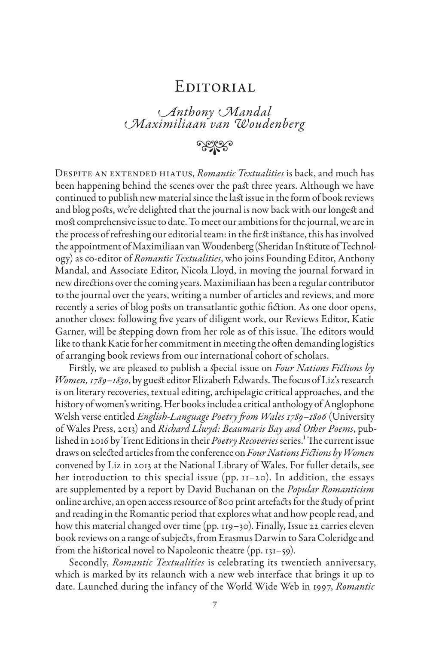### **EDITORIAL**

# *Anthony Mandal Maximiliaan van Woudenberg*

## **• 2929**

Despite an extended hiatus, *Romantic Textualities* is back, and much has been happening behind the scenes over the past three years. Although we have continued to publish new material since the last issue in the form of book reviews and blog posts, we're delighted that the journal is now back with our longest and most comprehensive issue to date. To meet our ambitions for the journal, we are in the process of refreshing our editorial team: in the first instance, this has involved the appointment of Maximiliaan van Woudenberg (Sheridan Institute of Technology) as co-editor of *Romantic Textualities*, who joins Founding Editor, Anthony Mandal, and Associate Editor, Nicola Lloyd, in moving the journal forward in new directions over the coming years. Maximiliaan has been a regular contributor to the journal over the years, writing a number of articles and reviews, and more recently a series of blog posts on transatlantic gothic fiction. As one door opens, another closes: following five years of diligent work, our Reviews Editor, Katie Garner, will be stepping down from her role as of this issue. The editors would like to thank Katie for her commitment in meeting the often demanding logistics of arranging book reviews from our international cohort of scholars.

Firstly, we are pleased to publish a special issue on *Four Nations Fictions by Women, 1789–1830*, by guest editor Elizabeth Edwards. The focus of Liz's research is on literary recoveries, textual editing, archipelagic critical approaches, and the history of women's writing. Her books include a critical anthology of Anglophone Welsh verse entitled *English-Language Poetry from Wales 1789–1806* (University of Wales Press, 2013) and *Richard Llwyd: Beaumaris Bay and Other Poems*, published in 2016 by Trent Editions in their *Poetry Recoveries* series.1 The current issue draws on selected articles from the conference on *Four Nations Fictions by Women* convened by Liz in 2013 at the National Library of Wales. For fuller details, see her introduction to this special issue (pp. 11–20). In addition, the essays are supplemented by a report by David Buchanan on the *Popular Romanticism*  online archive, an open access resource of 800 print artefacts for the study of print and reading in the Romantic period that explores what and how people read, and how this material changed over time (pp. 119–30). Finally, Issue 22 carries eleven book reviews on a range of subjects, from Erasmus Darwin to Sara Coleridge and from the historical novel to Napoleonic theatre (pp. 131–59).

Secondly, *Romantic Textualities* is celebrating its twentieth anniversary, which is marked by its relaunch with a new web interface that brings it up to date. Launched during the infancy of the World Wide Web in 1997, *Romantic*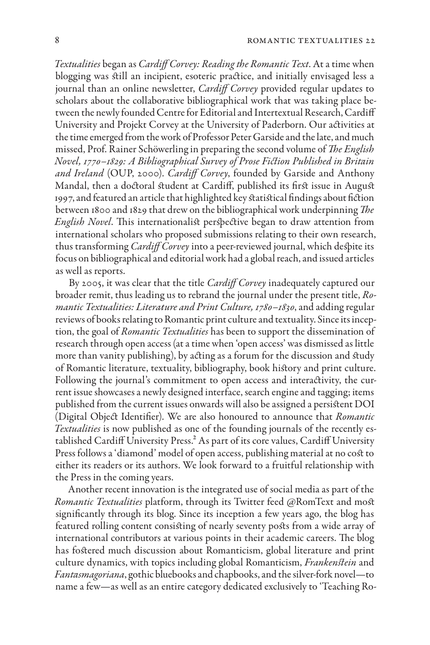*Textualities* began as *Cardiff Corvey: Reading the Romantic Text*. At a time when blogging was still an incipient, esoteric practice, and initially envisaged less a journal than an online newsletter, *Cardiff Corvey* provided regular updates to scholars about the collaborative bibliographical work that was taking place between the newly founded Centre for Editorial and Intertextual Research, Cardiff University and Projekt Corvey at the University of Paderborn. Our activities at the time emerged from the work of Professor Peter Garside and the late, and much missed, Prof. Rainer Schöwerling in preparing the second volume of *The English Novel, 1770–1829: A Bibliographical Survey of Prose Fiction Published in Britain and Ireland* (OUP, 2000). *Cardiff Corvey*, founded by Garside and Anthony Mandal, then a doctoral student at Cardiff, published its first issue in August 1997, and featured an article that highlighted key statistical findings about fiction between 1800 and 1829 that drew on the bibliographical work underpinning *The English Novel*. This internationalist perspective began to draw attention from international scholars who proposed submissions relating to their own research, thus transforming *Cardiff Corvey* into a peer-reviewed journal, which despite its focus on bibliographical and editorial work had a global reach, and issued articles as well as reports.

By 2005, it was clear that the title *Cardiff Corvey* inadequately captured our broader remit, thus leading us to rebrand the journal under the present title, *Romantic Textualities: Literature and Print Culture, 1780–1830*, and adding regular reviews of books relating to Romantic print culture and textuality. Since its inception, the goal of *Romantic Textualities* has been to support the dissemination of research through open access (at a time when 'open access' was dismissed as little more than vanity publishing), by acting as a forum for the discussion and study of Romantic literature, textuality, bibliography, book history and print culture. Following the journal's commitment to open access and interactivity, the current issue showcases a newly designed interface, search engine and tagging; items published from the current issues onwards will also be assigned a persistent DOI (Digital Object Identifier). We are also honoured to announce that *Romantic Textualities* is now published as one of the founding journals of the recently established Cardiff University Press.<sup>2</sup> As part of its core values, Cardiff University Press follows a 'diamond' model of open access, publishing material at no cost to either its readers or its authors. We look forward to a fruitful relationship with the Press in the coming years.

Another recent innovation is the integrated use of social media as part of the *Romantic Textualities* platform, through its Twitter feed @RomText and most significantly through its blog. Since its inception a few years ago, the blog has featured rolling content consisting of nearly seventy posts from a wide array of international contributors at various points in their academic careers. The blog has fostered much discussion about Romanticism, global literature and print culture dynamics, with topics including global Romanticism, *Frankenstein* and *Fantasmagoriana*, gothic bluebooks and chapbooks, and the silver-fork novel—to name a few—as well as an entire category dedicated exclusively to 'Teaching Ro-